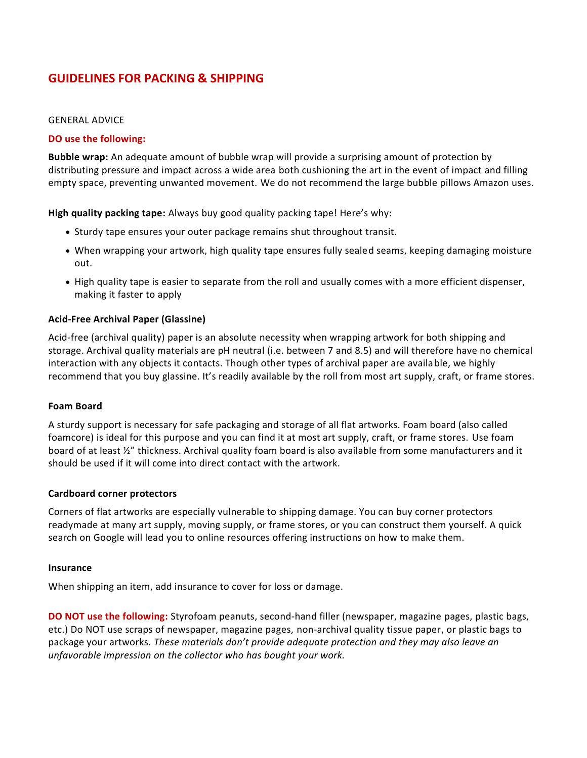# **GUIDELINES FOR PACKING & SHIPPING**

## GENERAL ADVICE

# **DO use the following:**

**Bubble wrap:** An adequate amount of bubble wrap will provide a surprising amount of protection by distributing pressure and impact across a wide area both cushioning the art in the event of impact and filling empty space, preventing unwanted movement. We do not recommend the large bubble pillows Amazon uses.

**High quality packing tape:** Always buy good quality packing tape! Here's why:

- Sturdy tape ensures your outer package remains shut throughout transit.
- When wrapping your artwork, high quality tape ensures fully sealed seams, keeping damaging moisture out.
- High quality tape is easier to separate from the roll and usually comes with a more efficient dispenser, making it faster to apply

# **Acid-Free Archival Paper (Glassine)**

Acid-free (archival quality) paper is an absolute necessity when wrapping artwork for both shipping and storage. Archival quality materials are pH neutral (i.e. between 7 and 8.5) and will therefore have no chemical interaction with any objects it contacts. Though other types of archival paper are available, we highly recommend that you buy glassine. It's readily available by the roll from most art supply, craft, or frame stores.

### **Foam Board**

A sturdy support is necessary for safe packaging and storage of all flat artworks. Foam board (also called foamcore) is ideal for this purpose and you can find it at most art supply, craft, or frame stores. Use foam board of at least ½" thickness. Archival quality foam board is also available from some manufacturers and it should be used if it will come into direct contact with the artwork.

### **Cardboard corner protectors**

Corners of flat artworks are especially vulnerable to shipping damage. You can buy corner protectors readymade at many art supply, moving supply, or frame stores, or you can construct them yourself. A quick search on Google will lead you to online resources offering instructions on how to make them.

### **Insurance**

When shipping an item, add insurance to cover for loss or damage.

**DO NOT use the following:** Styrofoam peanuts, second-hand filler (newspaper, magazine pages, plastic bags, etc.) Do NOT use scraps of newspaper, magazine pages, non-archival quality tissue paper, or plastic bags to package your artworks. *These materials don't provide adequate protection and they may also leave an unfavorable impression on the collector who has bought your work.*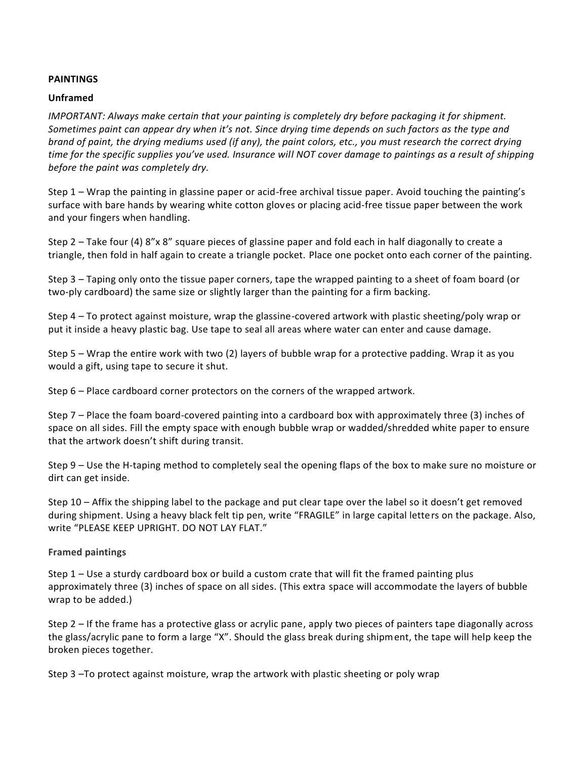# **[PAINTINGS](https://artsartistsartwork.com/packing-and-shipping-artworks/)**

# **Unframed**

*IMPORTANT: Always make certain that your painting is completely dry before packaging it for shipment. Sometimes paint can appear dry when it's not. Since drying time depends on such factors as the type and brand of paint, the drying mediums used (if any), the paint colors, etc., you must research the correct drying time for the specific supplies you've used. Insurance will NOT cover damage to paintings as a result of shipping before the paint was completely dry.*

Step 1 – Wrap the painting in glassine paper or acid-free archival tissue paper. Avoid touching the painting's surface with bare hands by wearing white cotton gloves or placing acid-free tissue paper between the work and your fingers when handling.

Step 2 – Take four (4) 8"x 8" square pieces of glassine paper and fold each in half diagonally to create a triangle, then fold in half again to create a triangle pocket. Place one pocket onto each corner of the painting.

Step 3 – Taping only onto the tissue paper corners, tape the wrapped painting to a sheet of foam board (or two-ply cardboard) the same size or slightly larger than the painting for a firm backing.

Step 4 – To protect against moisture, wrap the glassine-covered artwork with plastic sheeting/poly wrap or put it inside a heavy plastic bag. Use tape to seal all areas where water can enter and cause damage.

Step 5 – Wrap the entire work with two (2) layers of bubble wrap for a protective padding. Wrap it as you would a gift, using tape to secure it shut.

Step 6 – Place cardboard corner protectors on the corners of the wrapped artwork.

Step 7 – Place the foam board-covered painting into a cardboard box with approximately three (3) inches of space on all sides. Fill the empty space with enough bubble wrap or wadded/shredded white paper to ensure that the artwork doesn't shift during transit.

Step 9 – Use the H-taping method to completely seal the opening flaps of the box to make sure no moisture or dirt can get inside.

Step 10 – Affix the shipping label to the package and put clear tape over the label so it doesn't get removed during shipment. Using a heavy black felt tip pen, write "FRAGILE" in large capital letters on the package. Also, write "PLEASE KEEP UPRIGHT. DO NOT LAY FLAT."

# **Framed paintings**

Step 1 – Use a sturdy cardboard box or build a custom crate that will fit the framed painting plus approximately three (3) inches of space on all sides. (This extra space will accommodate the layers of bubble wrap to be added.)

Step 2 – If the frame has a protective glass or acrylic pane, apply two pieces of painters tape diagonally across the glass/acrylic pane to form a large "X". Should the glass break during shipment, the tape will help keep the broken pieces together.

Step 3 –To protect against moisture, wrap the artwork with plastic sheeting or poly wrap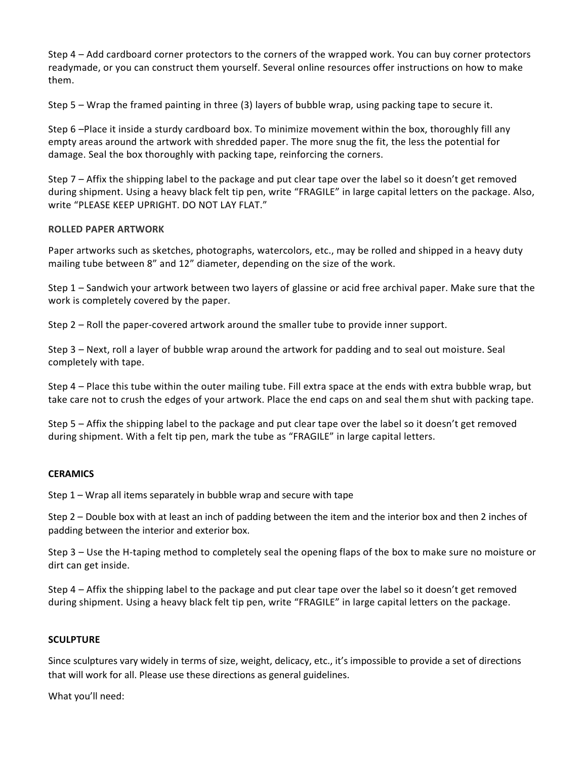Step 4 – Add cardboard corner protectors to the corners of the wrapped work. You can buy corner protectors readymade, or you can construct them yourself. Several online resources offer instructions on how to make them.

Step 5 – Wrap the framed painting in three (3) layers of bubble wrap, using packing tape to secure it.

Step 6 –Place it inside a sturdy cardboard box. To minimize movement within the box, thoroughly fill any empty areas around the artwork with shredded paper. The more snug the fit, the less the potential for damage. Seal the box thoroughly with packing tape, reinforcing the corners.

Step 7 – Affix the shipping label to the package and put clear tape over the label so it doesn't get removed during shipment. Using a heavy black felt tip pen, write "FRAGILE" in large capital letters on the package. Also, write "PLEASE KEEP UPRIGHT. DO NOT LAY FLAT."

# **ROLLED PAPER ARTWORK**

Paper artworks such as sketches, photographs, watercolors, etc., may be rolled and shipped in a heavy duty mailing tube between 8" and 12" diameter, depending on the size of the work.

Step 1 – Sandwich your artwork between two layers of glassine or acid free archival paper. Make sure that the work is completely covered by the paper.

Step 2 – Roll the paper-covered artwork around the smaller tube to provide inner support.

Step 3 – Next, roll a layer of bubble wrap around the artwork for padding and to seal out moisture. Seal completely with tape.

Step 4 – Place this tube within the outer mailing tube. Fill extra space at the ends with extra bubble wrap, but take care not to crush the edges of your artwork. Place the end caps on and seal them shut with packing tape.

Step 5 – Affix the shipping label to the package and put clear tape over the label so it doesn't get removed during shipment. With a felt tip pen, mark the tube as "FRAGILE" in large capital letters.

### **CERAMICS**

Step 1 – Wrap all items separately in bubble wrap and secure with tape

Step 2 – Double box with at least an inch of padding between the item and the interior box and then 2 inches of padding between the interior and exterior box.

Step 3 – Use the H-taping method to completely seal the opening flaps of the box to make sure no moisture or dirt can get inside.

Step 4 – Affix the shipping label to the package and put clear tape over the label so it doesn't get removed during shipment. Using a heavy black felt tip pen, write "FRAGILE" in large capital letters on the package.

# **[SCULPTURE](https://artsartistsartwork.com/packing-and-shipping-artworks/)**

Since sculptures vary widely in terms of size, weight, delicacy, etc., it's impossible to provide a set of directions that will work for all. Please use these directions as general guidelines.

What you'll need: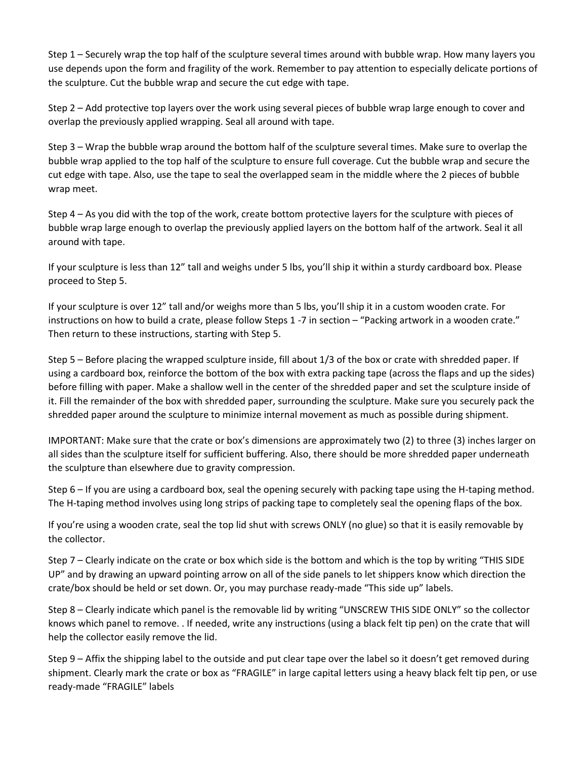Step 1 – Securely wrap the top half of the sculpture several times around with bubble wrap. How many layers you use depends upon the form and fragility of the work. Remember to pay attention to especially delicate portions of the sculpture. Cut the bubble wrap and secure the cut edge with tape.

Step 2 – Add protective top layers over the work using several pieces of bubble wrap large enough to cover and overlap the previously applied wrapping. Seal all around with tape.

Step 3 – Wrap the bubble wrap around the bottom half of the sculpture several times. Make sure to overlap the bubble wrap applied to the top half of the sculpture to ensure full coverage. Cut the bubble wrap and secure the cut edge with tape. Also, use the tape to seal the overlapped seam in the middle where the 2 pieces of bubble wrap meet.

Step 4 – As you did with the top of the work, create bottom protective layers for the sculpture with pieces of bubble wrap large enough to overlap the previously applied layers on the bottom half of the artwork. Seal it all around with tape.

If your sculpture is less than 12" tall and weighs under 5 lbs, you'll ship it within a sturdy cardboard box. Please proceed to Step 5.

If your sculpture is over 12" tall and/or weighs more than 5 lbs, you'll ship it in a custom wooden crate. For instructions on how to build a crate, please follow Steps 1 -7 in section – "Packing artwork in a wooden crate." Then return to these instructions, starting with Step 5.

Step 5 – Before placing the wrapped sculpture inside, fill about 1/3 of the box or crate with shredded paper. If using a cardboard box, reinforce the bottom of the box with extra packing tape (across the flaps and up the sides) before filling with paper. Make a shallow well in the center of the shredded paper and set the sculpture inside of it. Fill the remainder of the box with shredded paper, surrounding the sculpture. Make sure you securely pack the shredded paper around the sculpture to minimize internal movement as much as possible during shipment.

IMPORTANT: Make sure that the crate or box's dimensions are approximately two (2) to three (3) inches larger on all sides than the sculpture itself for sufficient buffering. Also, there should be more shredded paper underneath the sculpture than elsewhere due to gravity compression.

Step 6 – If you are using a cardboard box, seal the opening securely with packing tape using the H-taping method. The H-taping method involves using long strips of packing tape to completely seal the opening flaps of the box.

If you're using a wooden crate, seal the top lid shut with screws ONLY (no glue) so that it is easily removable by the collector.

Step 7 – Clearly indicate on the crate or box which side is the bottom and which is the top by writing "THIS SIDE UP" and by drawing an upward pointing arrow on all of the side panels to let shippers know which direction the crate/box should be held or set down. Or, you may purchase ready-made "This side up" labels.

Step 8 – Clearly indicate which panel is the removable lid by writing "UNSCREW THIS SIDE ONLY" so the collector knows which panel to remove. . If needed, write any instructions (using a black felt tip pen) on the crate that will help the collector easily remove the lid.

Step 9 – Affix the shipping label to the outside and put clear tape over the label so it doesn't get removed during shipment. Clearly mark the crate or box as "FRAGILE" in large capital letters using a heavy black felt tip pen, or use ready-made "FRAGILE" labels